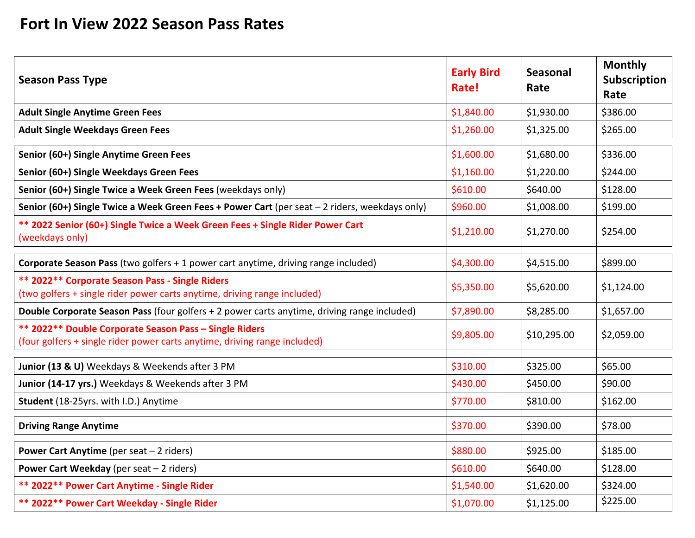## **Fort In View 2022 Season Pass Rates**

| <b>Season Pass Type</b>                                                                                                             | <b>Early Bird</b><br>Rate! | <b>Seasonal</b><br>Rate | <b>Monthly</b><br><b>Subscription</b><br>Rate |
|-------------------------------------------------------------------------------------------------------------------------------------|----------------------------|-------------------------|-----------------------------------------------|
| <b>Adult Single Anytime Green Fees</b>                                                                                              | \$1,840.00                 | \$1,930.00              | \$386.00                                      |
| <b>Adult Single Weekdays Green Fees</b>                                                                                             | \$1,260.00                 | \$1,325.00              | \$265.00                                      |
| Senior (60+) Single Anytime Green Fees                                                                                              | \$1,600.00                 | \$1,680.00              | \$336.00                                      |
| Senior (60+) Single Weekdays Green Fees                                                                                             | \$1,160.00                 | \$1,220.00              | \$244.00                                      |
| Senior (60+) Single Twice a Week Green Fees (weekdays only)                                                                         | \$610.00                   | \$640.00                | \$128.00                                      |
| Senior (60+) Single Twice a Week Green Fees + Power Cart (per seat - 2 riders, weekdays only)                                       | \$960.00                   | \$1,008.00              | \$199.00                                      |
| ** 2022 Senior (60+) Single Twice a Week Green Fees + Single Rider Power Cart<br>(weekdays only)                                    | \$1,210.00                 | \$1,270.00              | \$254.00                                      |
| Corporate Season Pass (two golfers + 1 power cart anytime, driving range included)                                                  | \$4,300.00                 | \$4,515.00              | \$899.00                                      |
| ** 2022** Corporate Season Pass - Single Riders<br>(two golfers + single rider power carts anytime, driving range included)         | \$5,350.00                 | \$5,620.00              | \$1,124.00                                    |
| Double Corporate Season Pass (four golfers + 2 power carts anytime, driving range included)                                         | \$7,890.00                 | \$8,285.00              | \$1,657.00                                    |
| ** 2022** Double Corporate Season Pass - Single Riders<br>(four golfers + single rider power carts anytime, driving range included) | \$9,805.00                 | \$10,295.00             | \$2,059.00                                    |
| Junior (13 & U) Weekdays & Weekends after 3 PM                                                                                      | \$310.00                   | \$325.00                | \$65.00                                       |
| Junior (14-17 yrs.) Weekdays & Weekends after 3 PM                                                                                  | \$430.00                   | \$450.00                | \$90.00                                       |
| Student (18-25yrs. with I.D.) Anytime                                                                                               | \$770.00                   | \$810.00                | \$162.00                                      |
| <b>Driving Range Anytime</b>                                                                                                        | \$370.00                   | \$390.00                | \$78.00                                       |
| Power Cart Anytime (per seat - 2 riders)                                                                                            | \$880.00                   | \$925.00                | \$185.00                                      |
| Power Cart Weekday (per seat - 2 riders)                                                                                            | \$610.00                   | \$640.00                | \$128.00                                      |
| ** 2022** Power Cart Anytime - Single Rider                                                                                         | \$1,540.00                 | \$1,620.00              | \$324.00                                      |
| ** 2022** Power Cart Weekday - Single Rider                                                                                         | \$1,070.00                 | \$1,125.00              | \$225.00                                      |